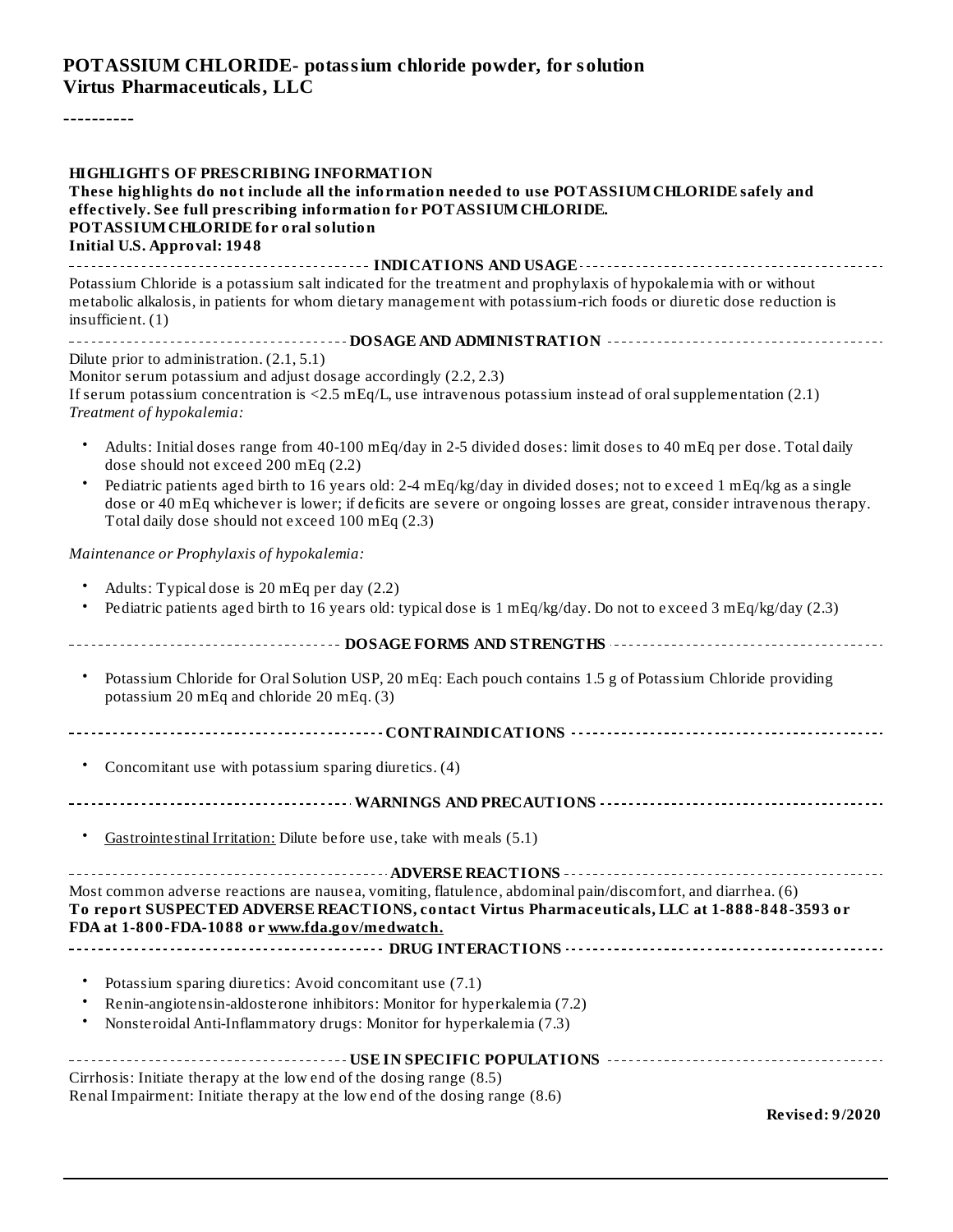#### **POTASSIUM CHLORIDE- potassium chloride powder, for solution Virtus Pharmaceuticals, LLC**

----------

| <b>HIGHLIGHTS OF PRESCRIBING INFORMATION</b><br>These highlights do not include all the information needed to use POTASSIUM CHLORIDE safely and<br>effectively. See full prescribing information for POTASSIUM CHLORIDE.<br>POTASSIUM CHLORIDE for oral solution<br><b>Initial U.S. Approval: 1948</b> |
|--------------------------------------------------------------------------------------------------------------------------------------------------------------------------------------------------------------------------------------------------------------------------------------------------------|
| Potassium Chloride is a potassium salt indicated for the treatment and prophylaxis of hypokalemia with or without<br>metabolic alkalosis, in patients for whom dietary management with potassium-rich foods or diuretic dose reduction is<br>$in$ sufficient. $(1)$                                    |
|                                                                                                                                                                                                                                                                                                        |
| Dilute prior to administration. (2.1, 5.1)<br>Monitor serum potassium and adjust dosage accordingly (2.2, 2.3)<br>If serum potassium concentration is <2.5 $mEq/L$ , use intravenous potassium instead of oral supplementation (2.1)<br>Treatment of hypokalemia:                                      |
| Adults: Initial doses range from 40-100 mEq/day in 2-5 divided doses: limit doses to 40 mEq per dose. Total daily<br>dose should not exceed 200 mEq (2.2)                                                                                                                                              |
| Pediatric patients aged birth to 16 years old: 2-4 mEq/kg/day in divided doses; not to exceed 1 mEq/kg as a single<br>dose or 40 mEq whichever is lower; if deficits are severe or ongoing losses are great, consider intravenous therapy.<br>Total daily dose should not exceed 100 mEq (2.3)         |
| Maintenance or Prophylaxis of hypokalemia:                                                                                                                                                                                                                                                             |
| Adults: Typical dose is 20 mEq per day (2.2)<br>Pediatric patients aged birth to 16 years old: typical dose is 1 mEq/kg/day. Do not to exceed 3 mEq/kg/day (2.3)                                                                                                                                       |
|                                                                                                                                                                                                                                                                                                        |
| Potassium Chloride for Oral Solution USP, 20 mEq: Each pouch contains 1.5 g of Potassium Chloride providing<br>٠<br>potassium 20 mEq and chloride 20 mEq. (3)                                                                                                                                          |
|                                                                                                                                                                                                                                                                                                        |
| $\bullet$<br>Concomitant use with potassium sparing diuretics. (4)                                                                                                                                                                                                                                     |
| --------------------------------- WARNINGS AND PRECAUTIONS ---------------------------------                                                                                                                                                                                                           |
| Gastrointestinal Irritation: Dilute before use, take with meals (5.1)                                                                                                                                                                                                                                  |
| Most common adverse reactions are nausea, vomiting, flatulence, abdominal pain/discomfort, and diarrhea. (6)<br>To report SUSPECTED ADVERSE REACTIONS, contact Virtus Pharmaceuticals, LLC at 1-888-848-3593 or<br>FDA at 1-800-FDA-1088 or www.fda.gov/medwatch.                                      |
|                                                                                                                                                                                                                                                                                                        |
| Potassium sparing diuretics: Avoid concomitant use (7.1)<br>Renin-angiotensin-aldosterone inhibitors: Monitor for hyperkalemia (7.2)<br>Nonsteroidal Anti-Inflammatory drugs: Monitor for hyperkalemia (7.3)<br>٠                                                                                      |
| Cirrhosis: Initiate therapy at the low end of the dosing range (8.5)<br>Renal Impairment: Initiate therapy at the low end of the dosing range (8.6)<br>Revised: 9/2020                                                                                                                                 |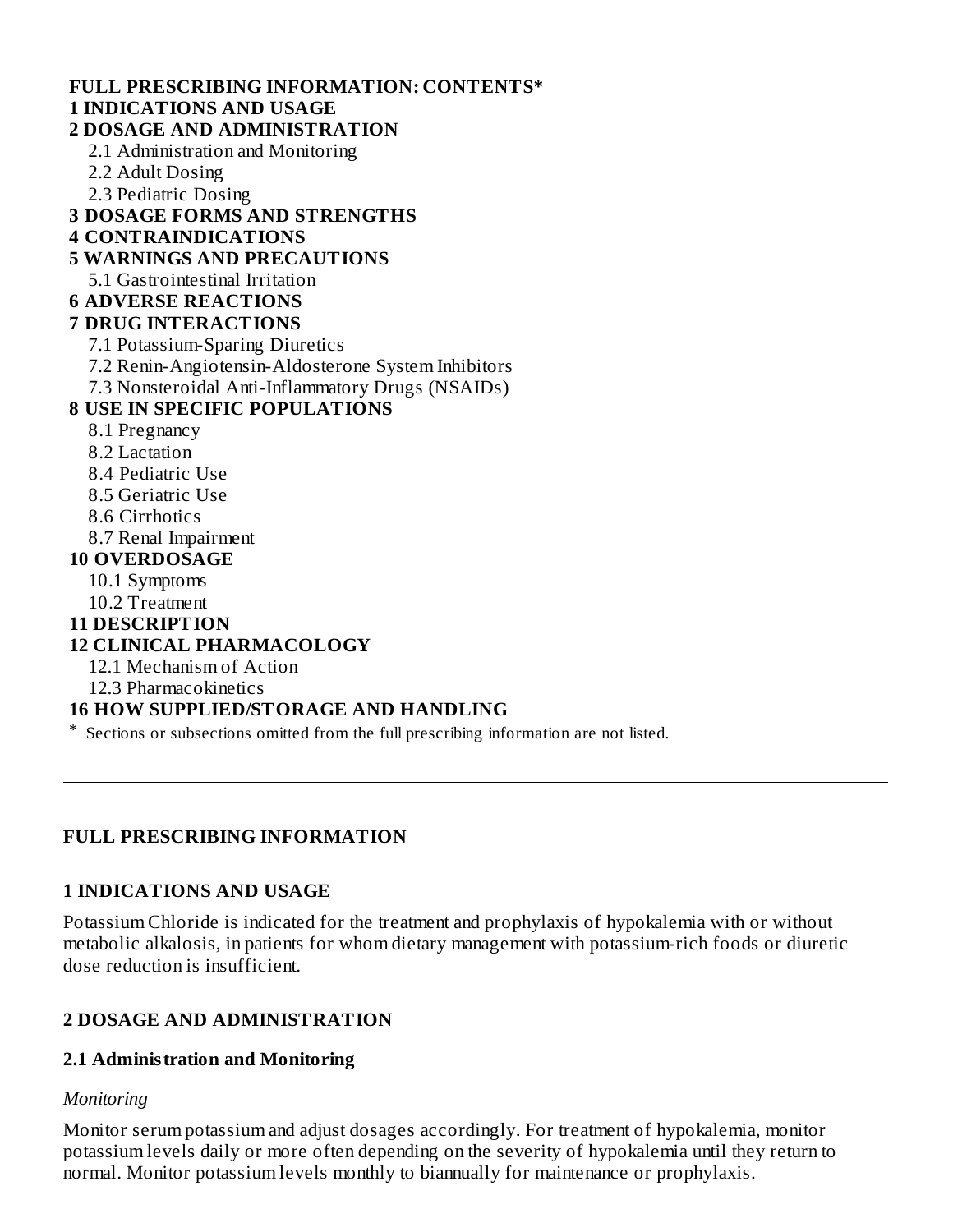#### **FULL PRESCRIBING INFORMATION: CONTENTS\* 1 INDICATIONS AND USAGE**

# **2 DOSAGE AND ADMINISTRATION**

2.1 Administration and Monitoring

- 2.2 Adult Dosing
- 2.3 Pediatric Dosing
- **3 DOSAGE FORMS AND STRENGTHS**

#### **4 CONTRAINDICATIONS**

- **5 WARNINGS AND PRECAUTIONS**
- 5.1 Gastrointestinal Irritation
- **6 ADVERSE REACTIONS**

#### **7 DRUG INTERACTIONS**

- 7.1 Potassium-Sparing Diuretics
- 7.2 Renin-Angiotensin-Aldosterone System Inhibitors
- 7.3 Nonsteroidal Anti-Inflammatory Drugs (NSAIDs)

#### **8 USE IN SPECIFIC POPULATIONS**

- 8.1 Pregnancy
- 8.2 Lactation
- 8.4 Pediatric Use
- 8.5 Geriatric Use
- 8.6 Cirrhotics
- 8.7 Renal Impairment

#### **10 OVERDOSAGE**

- 10.1 Symptoms
- 10.2 Treatment
- **11 DESCRIPTION**

### **12 CLINICAL PHARMACOLOGY**

- 12.1 Mechanism of Action
- 12.3 Pharmacokinetics

### **16 HOW SUPPLIED/STORAGE AND HANDLING**

\* Sections or subsections omitted from the full prescribing information are not listed.

#### **FULL PRESCRIBING INFORMATION**

#### **1 INDICATIONS AND USAGE**

Potassium Chloride is indicated for the treatment and prophylaxis of hypokalemia with or without metabolic alkalosis, in patients for whom dietary management with potassium-rich foods or diuretic dose reduction is insufficient.

### **2 DOSAGE AND ADMINISTRATION**

#### **2.1 Administration and Monitoring**

#### *Monitoring*

Monitor serum potassium and adjust dosages accordingly. For treatment of hypokalemia, monitor potassium levels daily or more often depending on the severity of hypokalemia until they return to normal. Monitor potassium levels monthly to biannually for maintenance or prophylaxis.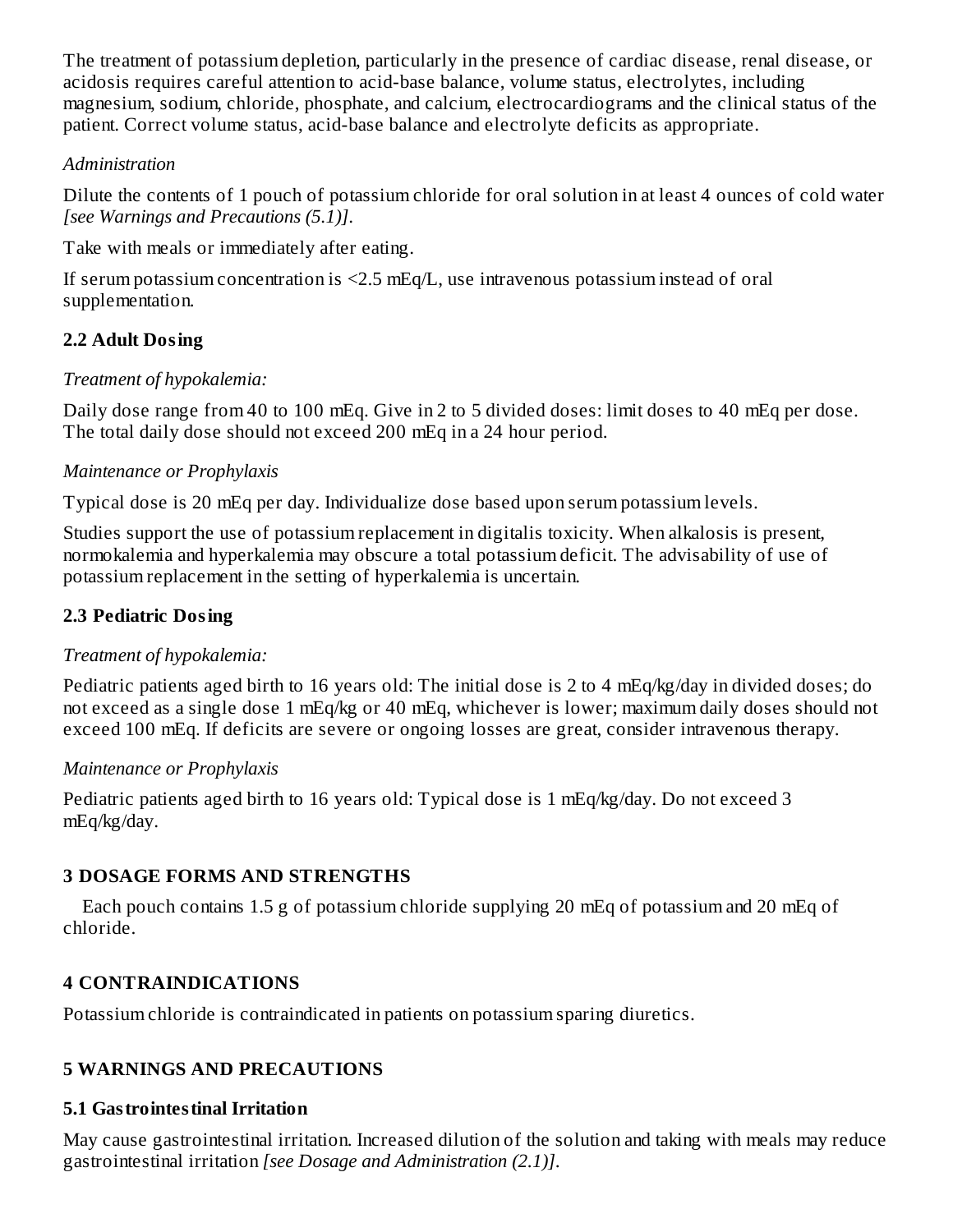The treatment of potassium depletion, particularly in the presence of cardiac disease, renal disease, or acidosis requires careful attention to acid-base balance, volume status, electrolytes, including magnesium, sodium, chloride, phosphate, and calcium, electrocardiograms and the clinical status of the patient. Correct volume status, acid-base balance and electrolyte deficits as appropriate.

#### *Administration*

Dilute the contents of 1 pouch of potassium chloride for oral solution in at least 4 ounces of cold water *[see Warnings and Precautions (5.1)]*.

Take with meals or immediately after eating.

If serum potassium concentration is  $\leq$ 2.5 mEq/L, use intravenous potassium instead of oral supplementation.

## **2.2 Adult Dosing**

### *Treatment of hypokalemia:*

Daily dose range from 40 to 100 mEq. Give in 2 to 5 divided doses: limit doses to 40 mEq per dose. The total daily dose should not exceed 200 mEq in a 24 hour period.

### *Maintenance or Prophylaxis*

Typical dose is 20 mEq per day. Individualize dose based upon serum potassium levels.

Studies support the use of potassium replacement in digitalis toxicity. When alkalosis is present, normokalemia and hyperkalemia may obscure a total potassium deficit. The advisability of use of potassium replacement in the setting of hyperkalemia is uncertain.

## **2.3 Pediatric Dosing**

## *Treatment of hypokalemia:*

Pediatric patients aged birth to 16 years old: The initial dose is 2 to 4 mEq/kg/day in divided doses; do not exceed as a single dose 1 mEq/kg or 40 mEq, whichever is lower; maximum daily doses should not exceed 100 mEq. If deficits are severe or ongoing losses are great, consider intravenous therapy.

### *Maintenance or Prophylaxis*

Pediatric patients aged birth to 16 years old: Typical dose is 1 mEq/kg/day. Do not exceed 3 mEq/kg/day.

## **3 DOSAGE FORMS AND STRENGTHS**

Each pouch contains 1.5 g of potassium chloride supplying 20 mEq of potassium and 20 mEq of chloride.

## **4 CONTRAINDICATIONS**

Potassium chloride is contraindicated in patients on potassium sparing diuretics.

## **5 WARNINGS AND PRECAUTIONS**

## **5.1 Gastrointestinal Irritation**

May cause gastrointestinal irritation. Increased dilution of the solution and taking with meals may reduce gastrointestinal irritation *[see Dosage and Administration (2.1)]*.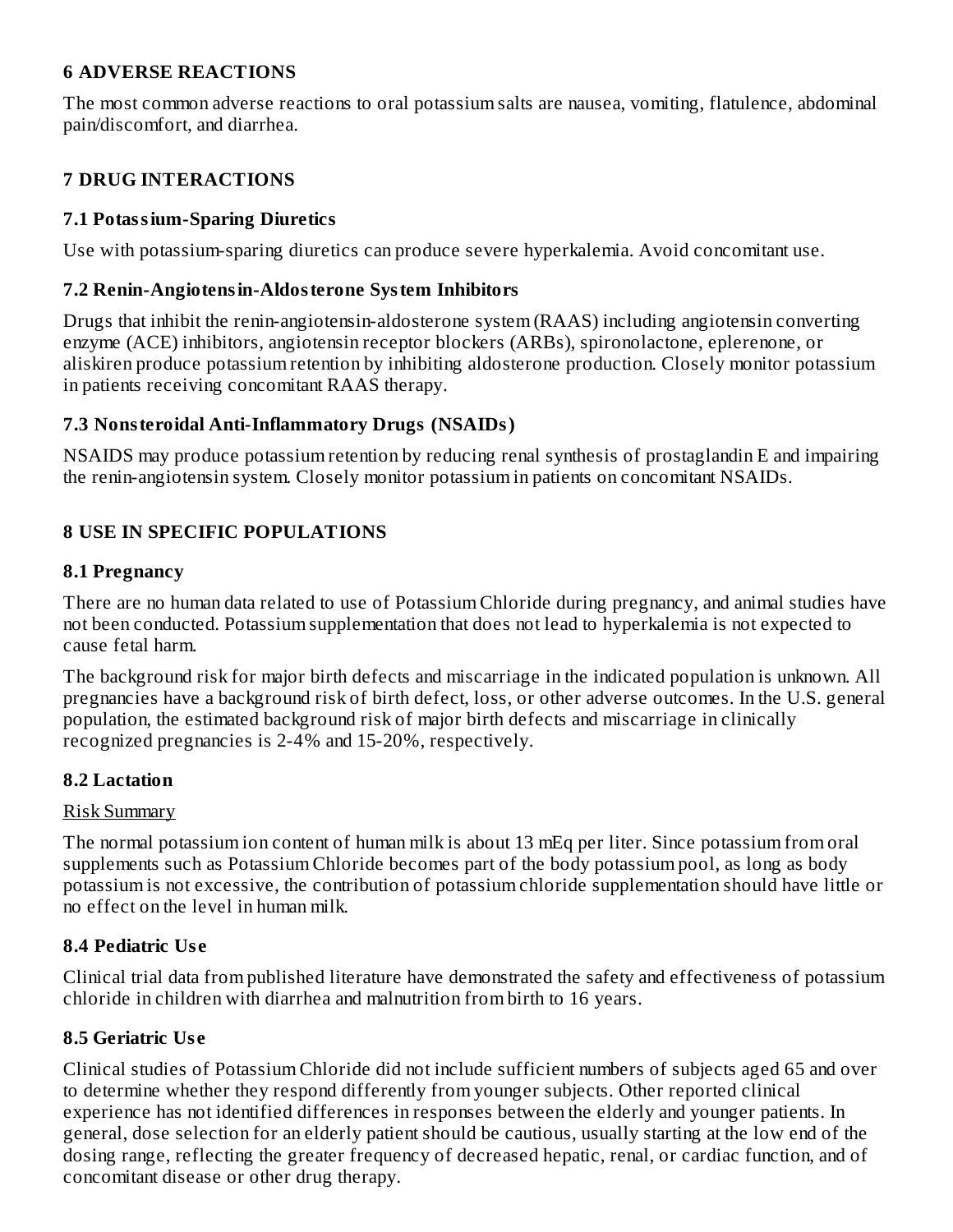#### **6 ADVERSE REACTIONS**

The most common adverse reactions to oral potassium salts are nausea, vomiting, flatulence, abdominal pain/discomfort, and diarrhea.

### **7 DRUG INTERACTIONS**

#### **7.1 Potassium-Sparing Diuretics**

Use with potassium-sparing diuretics can produce severe hyperkalemia. Avoid concomitant use.

#### **7.2 Renin-Angiotensin-Aldosterone System Inhibitors**

Drugs that inhibit the renin-angiotensin-aldosterone system (RAAS) including angiotensin converting enzyme (ACE) inhibitors, angiotensin receptor blockers (ARBs), spironolactone, eplerenone, or aliskiren produce potassium retention by inhibiting aldosterone production. Closely monitor potassium in patients receiving concomitant RAAS therapy.

#### **7.3 Nonsteroidal Anti-Inflammatory Drugs (NSAIDs)**

NSAIDS may produce potassium retention by reducing renal synthesis of prostaglandin E and impairing the renin-angiotensin system. Closely monitor potassium in patients on concomitant NSAIDs.

### **8 USE IN SPECIFIC POPULATIONS**

#### **8.1 Pregnancy**

There are no human data related to use of Potassium Chloride during pregnancy, and animal studies have not been conducted. Potassium supplementation that does not lead to hyperkalemia is not expected to cause fetal harm.

The background risk for major birth defects and miscarriage in the indicated population is unknown. All pregnancies have a background risk of birth defect, loss, or other adverse outcomes. In the U.S. general population, the estimated background risk of major birth defects and miscarriage in clinically recognized pregnancies is 2-4% and 15-20%, respectively.

### **8.2 Lactation**

### Risk Summary

The normal potassium ion content of human milk is about 13 mEq per liter. Since potassium from oral supplements such as Potassium Chloride becomes part of the body potassium pool, as long as body potassium is not excessive, the contribution of potassium chloride supplementation should have little or no effect on the level in human milk.

### **8.4 Pediatric Us e**

Clinical trial data from published literature have demonstrated the safety and effectiveness of potassium chloride in children with diarrhea and malnutrition from birth to 16 years.

### **8.5 Geriatric Us e**

Clinical studies of Potassium Chloride did not include sufficient numbers of subjects aged 65 and over to determine whether they respond differently from younger subjects. Other reported clinical experience has not identified differences in responses between the elderly and younger patients. In general, dose selection for an elderly patient should be cautious, usually starting at the low end of the dosing range, reflecting the greater frequency of decreased hepatic, renal, or cardiac function, and of concomitant disease or other drug therapy.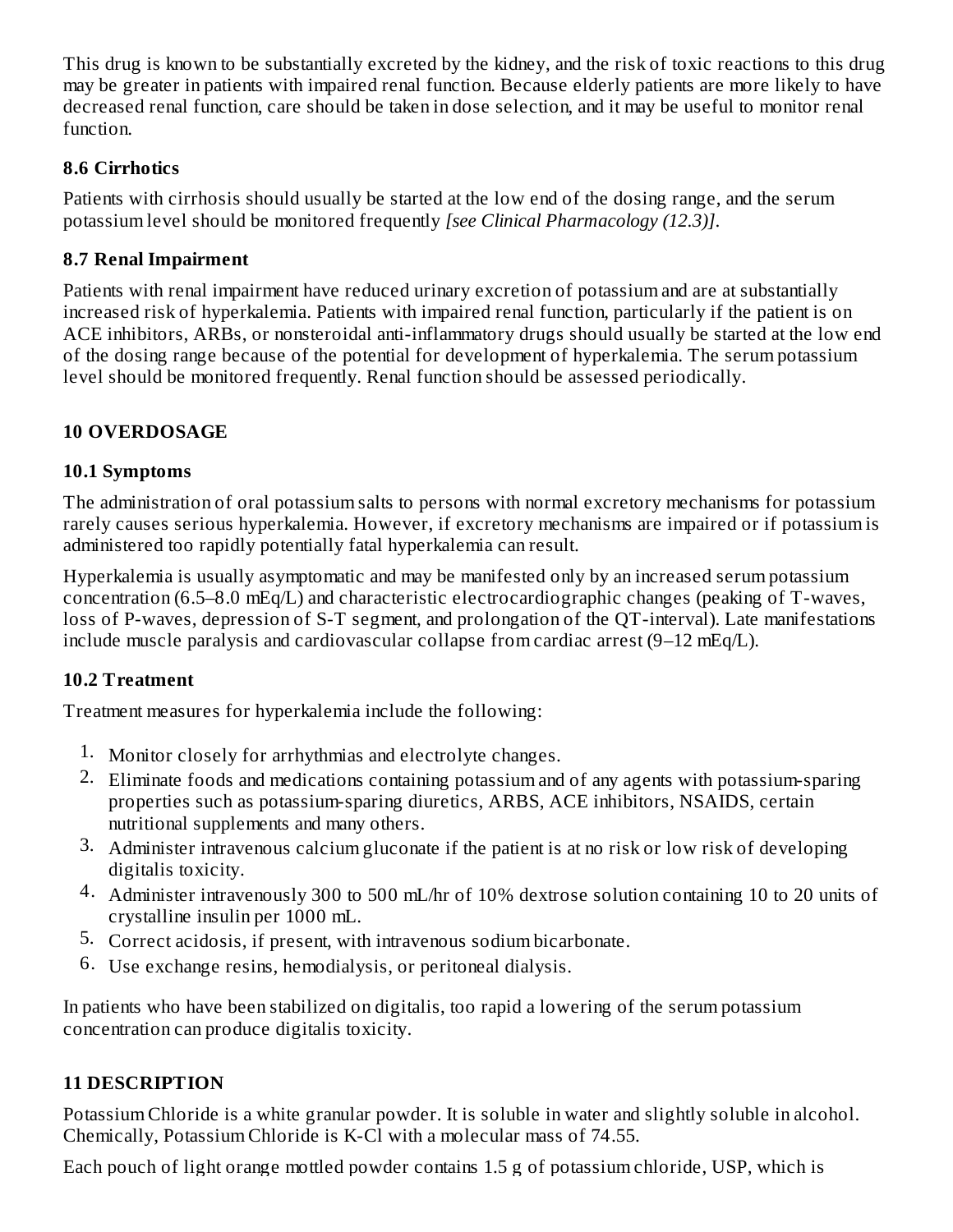This drug is known to be substantially excreted by the kidney, and the risk of toxic reactions to this drug may be greater in patients with impaired renal function. Because elderly patients are more likely to have decreased renal function, care should be taken in dose selection, and it may be useful to monitor renal function.

### **8.6 Cirrhotics**

Patients with cirrhosis should usually be started at the low end of the dosing range, and the serum potassium level should be monitored frequently *[see Clinical Pharmacology (12.3)]*.

#### **8.7 Renal Impairment**

Patients with renal impairment have reduced urinary excretion of potassium and are at substantially increased risk of hyperkalemia. Patients with impaired renal function, particularly if the patient is on ACE inhibitors, ARBs, or nonsteroidal anti-inflammatory drugs should usually be started at the low end of the dosing range because of the potential for development of hyperkalemia. The serum potassium level should be monitored frequently. Renal function should be assessed periodically.

### **10 OVERDOSAGE**

#### **10.1 Symptoms**

The administration of oral potassium salts to persons with normal excretory mechanisms for potassium rarely causes serious hyperkalemia. However, if excretory mechanisms are impaired or if potassium is administered too rapidly potentially fatal hyperkalemia can result.

Hyperkalemia is usually asymptomatic and may be manifested only by an increased serum potassium concentration (6.5–8.0 mEq/L) and characteristic electrocardiographic changes (peaking of T-waves, loss of P-waves, depression of S-T segment, and prolongation of the QT-interval). Late manifestations include muscle paralysis and cardiovascular collapse from cardiac arrest (9–12 mEq/L).

### **10.2 Treatment**

Treatment measures for hyperkalemia include the following:

- 1. Monitor closely for arrhythmias and electrolyte changes.
- 2. Eliminate foods and medications containing potassium and of any agents with potassium-sparing properties such as potassium-sparing diuretics, ARBS, ACE inhibitors, NSAIDS, certain nutritional supplements and many others.
- 3. Administer intravenous calcium gluconate if the patient is at no risk or low risk of developing digitalis toxicity.
- 4. Administer intravenously 300 to 500 mL/hr of 10% dextrose solution containing 10 to 20 units of crystalline insulin per 1000 mL.
- 5. Correct acidosis, if present, with intravenous sodium bicarbonate.
- 6. Use exchange resins, hemodialysis, or peritoneal dialysis.

In patients who have been stabilized on digitalis, too rapid a lowering of the serum potassium concentration can produce digitalis toxicity.

### **11 DESCRIPTION**

Potassium Chloride is a white granular powder. It is soluble in water and slightly soluble in alcohol. Chemically, Potassium Chloride is K-Cl with a molecular mass of 74.55.

Each pouch of light orange mottled powder contains 1.5 g of potassium chloride, USP, which is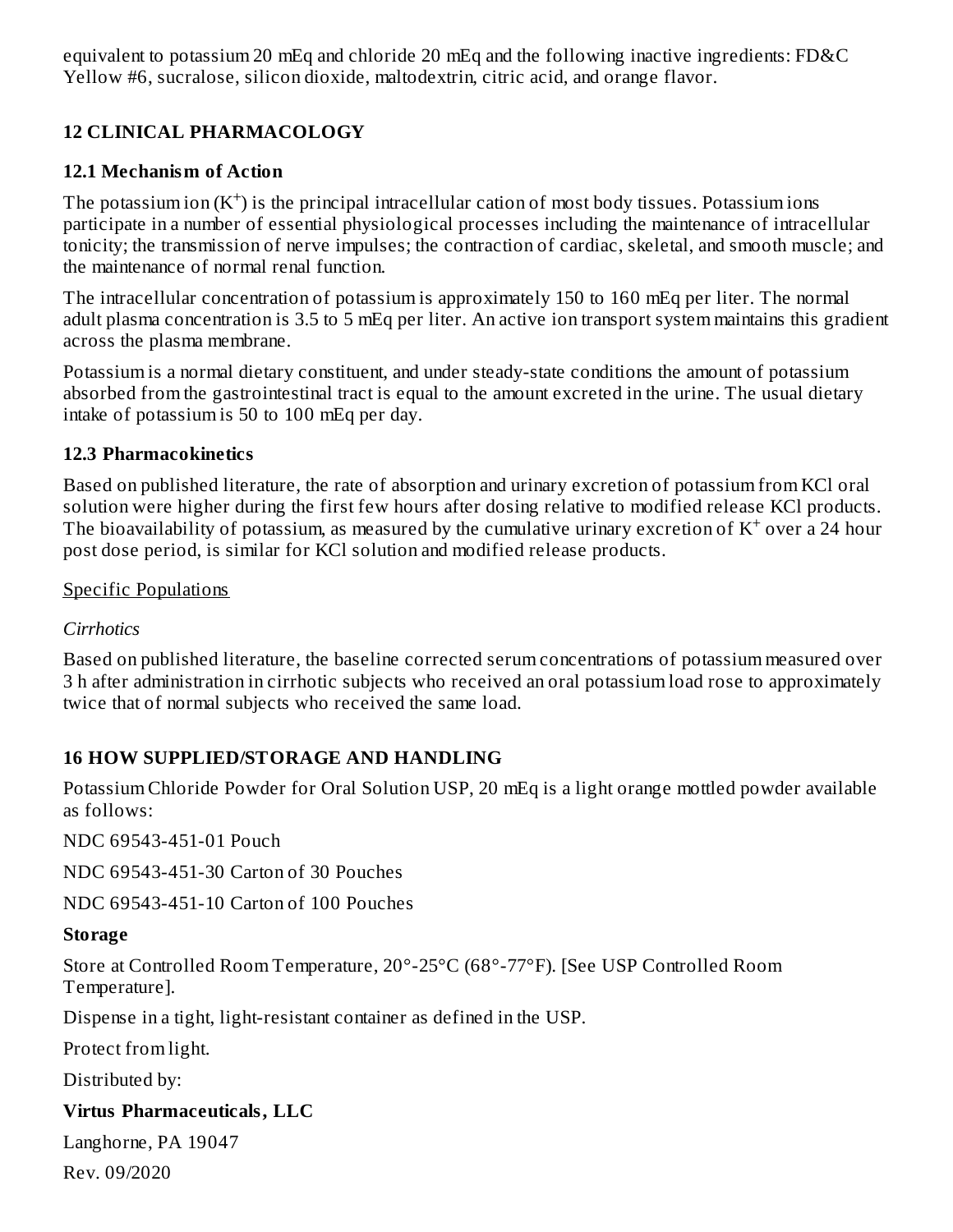equivalent to potassium 20 mEq and chloride 20 mEq and the following inactive ingredients: FD&C Yellow #6, sucralose, silicon dioxide, maltodextrin, citric acid, and orange flavor.

### **12 CLINICAL PHARMACOLOGY**

#### **12.1 Mechanism of Action**

The potassium ion  $(K^+)$  is the principal intracellular cation of most body tissues. Potassium ions participate in a number of essential physiological processes including the maintenance of intracellular tonicity; the transmission of nerve impulses; the contraction of cardiac, skeletal, and smooth muscle; and the maintenance of normal renal function.

The intracellular concentration of potassium is approximately 150 to 160 mEq per liter. The normal adult plasma concentration is 3.5 to 5 mEq per liter. An active ion transport system maintains this gradient across the plasma membrane.

Potassium is a normal dietary constituent, and under steady-state conditions the amount of potassium absorbed from the gastrointestinal tract is equal to the amount excreted in the urine. The usual dietary intake of potassium is 50 to 100 mEq per day.

#### **12.3 Pharmacokinetics**

Based on published literature, the rate of absorption and urinary excretion of potassium from KCl oral solution were higher during the first few hours after dosing relative to modified release KCl products. The bioavailability of potassium, as measured by the cumulative urinary excretion of  $K^+$  over a 24 hour post dose period, is similar for KCl solution and modified release products.

Specific Populations

*Cirrhotics*

Based on published literature, the baseline corrected serum concentrations of potassium measured over 3 h after administration in cirrhotic subjects who received an oral potassium load rose to approximately twice that of normal subjects who received the same load.

### **16 HOW SUPPLIED/STORAGE AND HANDLING**

Potassium Chloride Powder for Oral Solution USP, 20 mEq is a light orange mottled powder available as follows:

NDC 69543-451-01 Pouch

NDC 69543-451-30 Carton of 30 Pouches

NDC 69543-451-10 Carton of 100 Pouches

#### **Storage**

Store at Controlled Room Temperature, 20°-25°C (68°-77°F). [See USP Controlled Room Temperature].

Dispense in a tight, light-resistant container as defined in the USP.

Protect from light.

Distributed by:

### **Virtus Pharmaceuticals, LLC**

Langhorne, PA 19047

Rev. 09/2020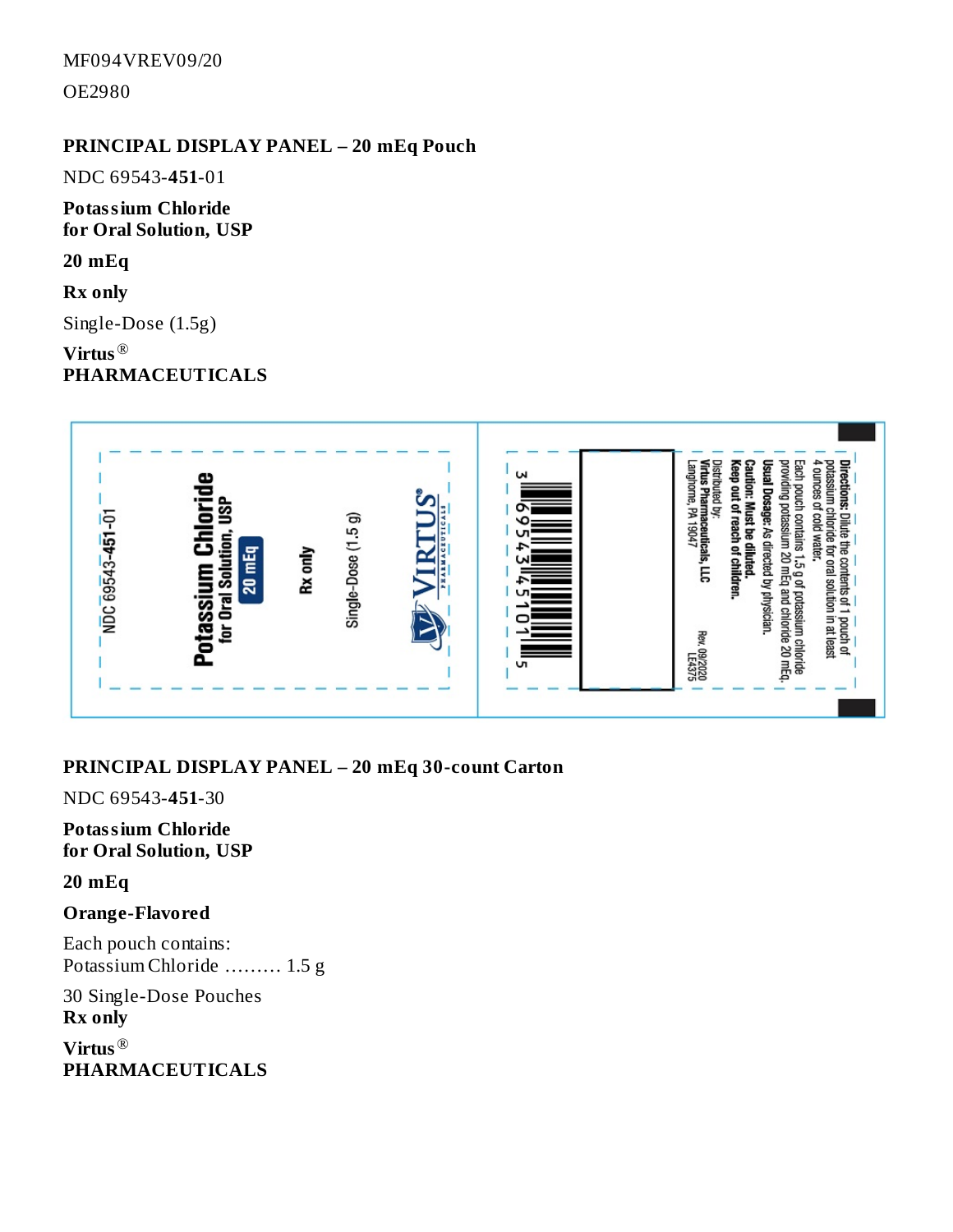MF094VREV09/20

OE2980

### **PRINCIPAL DISPLAY PANEL – 20 mEq Pouch**

NDC 69543-**451**-01

**Potassium Chloride for Oral Solution, USP**

**20 mEq**

**Rx only**

Single-Dose (1.5g)

**Virtus** ® **PHARMACEUTICALS**



#### **PRINCIPAL DISPLAY PANEL – 20 mEq 30-count Carton**

NDC 69543-**451**-30

**Potassium Chloride for Oral Solution, USP**

**20 mEq**

#### **Orange-Flavored**

Each pouch contains: Potassium Chloride ……… 1.5 g

30 Single-Dose Pouches **Rx only**

**Virtus** ®**PHARMACEUTICALS**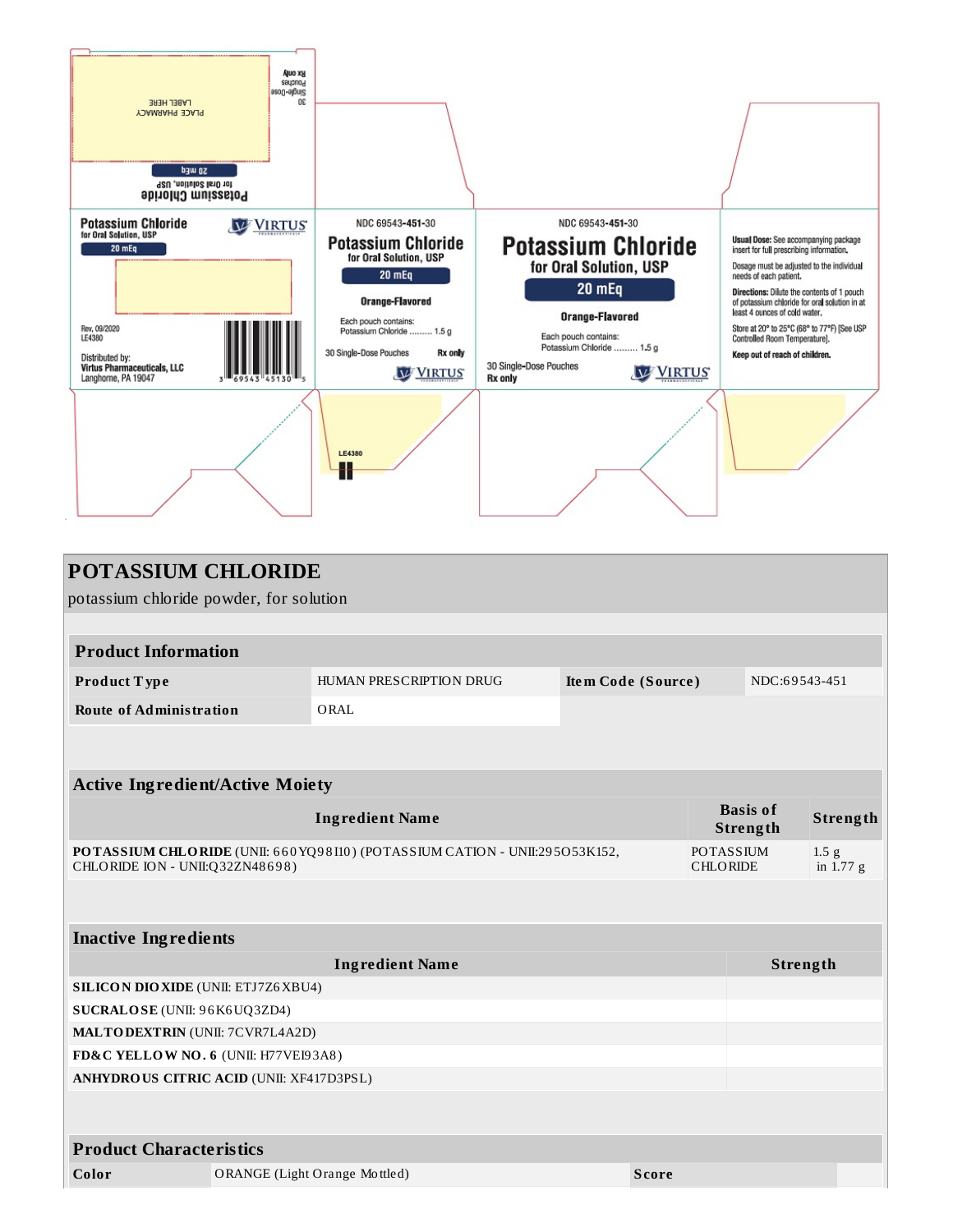

| <b>POTASSIUM CHLORIDE</b>                                                                                      |  |                               |                    |                             |                                     |                                 |  |  |  |  |
|----------------------------------------------------------------------------------------------------------------|--|-------------------------------|--------------------|-----------------------------|-------------------------------------|---------------------------------|--|--|--|--|
| potassium chloride powder, for solution                                                                        |  |                               |                    |                             |                                     |                                 |  |  |  |  |
|                                                                                                                |  |                               |                    |                             |                                     |                                 |  |  |  |  |
| <b>Product Information</b>                                                                                     |  |                               |                    |                             |                                     |                                 |  |  |  |  |
| Product Type                                                                                                   |  | HUMAN PRESCRIPTION DRUG       | Item Code (Source) |                             | NDC:69543-451                       |                                 |  |  |  |  |
| <b>Route of Administration</b>                                                                                 |  | ORAL                          |                    |                             |                                     |                                 |  |  |  |  |
|                                                                                                                |  |                               |                    |                             |                                     |                                 |  |  |  |  |
|                                                                                                                |  |                               |                    |                             |                                     |                                 |  |  |  |  |
| <b>Active Ingredient/Active Moiety</b>                                                                         |  |                               |                    |                             |                                     |                                 |  |  |  |  |
| <b>Ingredient Name</b>                                                                                         |  |                               |                    | <b>Basis of</b><br>Strength | Strength                            |                                 |  |  |  |  |
| POTASSIUM CHLORIDE (UNII: 660 YQ98110) (POTASSIUM CATION - UNII:295053K152,<br>CHLORIDE ION - UNII:Q32ZN48698) |  |                               |                    |                             | <b>POTASSIUM</b><br><b>CHLORIDE</b> | 1.5 <sub>g</sub><br>in $1.77$ g |  |  |  |  |
|                                                                                                                |  |                               |                    |                             |                                     |                                 |  |  |  |  |
| <b>Inactive Ingredients</b>                                                                                    |  |                               |                    |                             |                                     |                                 |  |  |  |  |
| <b>Ingredient Name</b>                                                                                         |  |                               |                    |                             | Strength                            |                                 |  |  |  |  |
| <b>SILICON DIO XIDE (UNII: ETJ7Z6 XBU4)</b>                                                                    |  |                               |                    |                             |                                     |                                 |  |  |  |  |
| SUCRALOSE (UNII: 96K6UQ3ZD4)                                                                                   |  |                               |                    |                             |                                     |                                 |  |  |  |  |
| <b>MALTODEXTRIN</b> (UNII: 7CVR7L4A2D)                                                                         |  |                               |                    |                             |                                     |                                 |  |  |  |  |
| FD&C YELLOW NO. 6 (UNII: H77VEI93A8)                                                                           |  |                               |                    |                             |                                     |                                 |  |  |  |  |
| <b>ANHYDROUS CITRIC ACID (UNII: XF417D3PSL)</b>                                                                |  |                               |                    |                             |                                     |                                 |  |  |  |  |
|                                                                                                                |  |                               |                    |                             |                                     |                                 |  |  |  |  |
| <b>Product Characteristics</b>                                                                                 |  |                               |                    |                             |                                     |                                 |  |  |  |  |
| Color                                                                                                          |  | ORANGE (Light Orange Mottled) | <b>Score</b>       |                             |                                     |                                 |  |  |  |  |